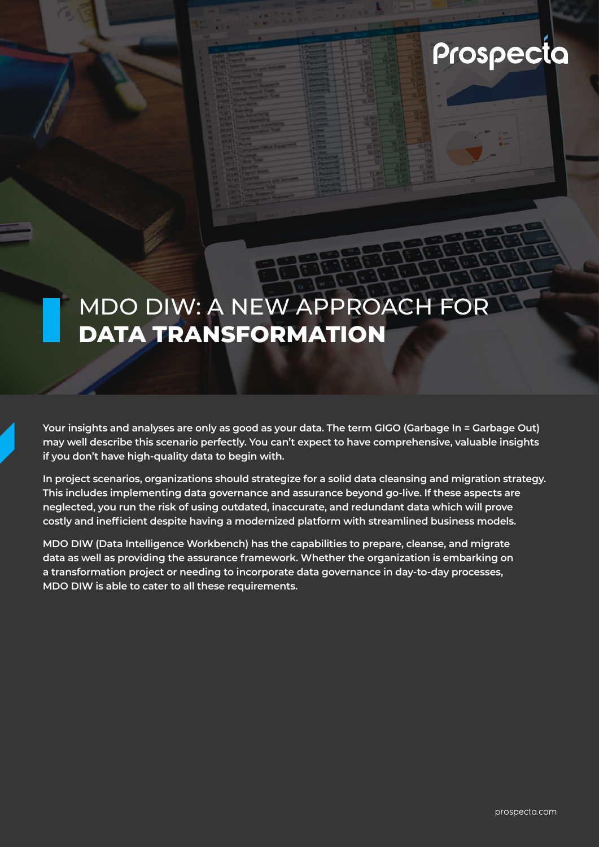# Prospecta

## MDO DIW: A NEW APPROACH FOR **DATA TRANSFORMATION**

**Your insights and analyses are only as good as your data. The term GIGO (Garbage In = Garbage Out) may well describe this scenario perfectly. You can't expect to have comprehensive, valuable insights if you don't have high-quality data to begin with.** 

**In project scenarios, organizations should strategize for a solid data cleansing and migration strategy. This includes implementing data governance and assurance beyond go-live. If these aspects are neglected, you run the risk of using outdated, inaccurate, and redundant data which will prove costly and inefficient despite having a modernized platform with streamlined business models.** 

**MDO DIW (Data Intelligence Workbench) has the capabilities to prepare, cleanse, and migrate data as well as providing the assurance framework. Whether the organization is embarking on a transformation project or needing to incorporate data governance in day-to-day processes, MDO DIW is able to cater to all these requirements.**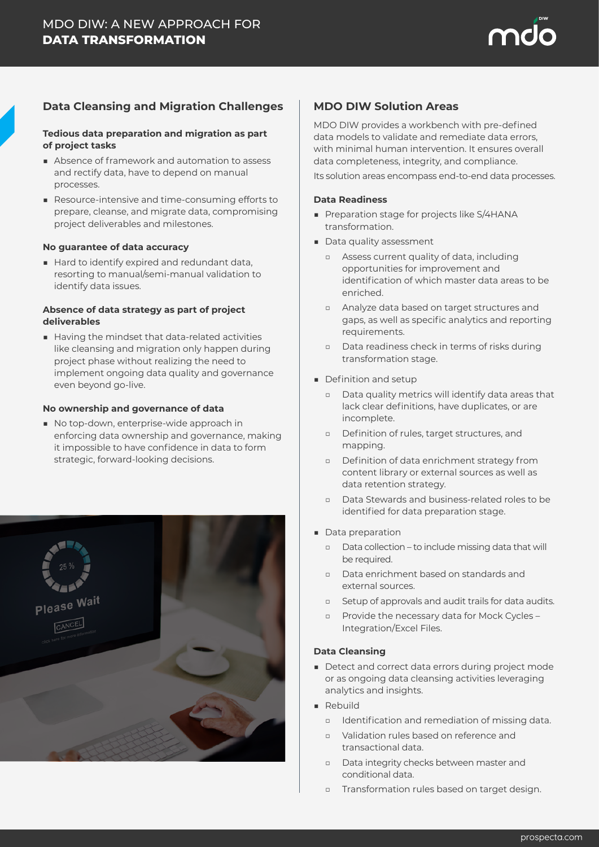

#### **Data Cleansing and Migration Challenges**

#### **Tedious data preparation and migration as part of project tasks**

- Absence of framework and automation to assess and rectify data, have to depend on manual processes.
- Resource-intensive and time-consuming efforts to prepare, cleanse, and migrate data, compromising project deliverables and milestones.

#### **No guarantee of data accuracy**

■ Hard to identify expired and redundant data, resorting to manual/semi-manual validation to identify data issues.

#### **Absence of data strategy as part of project deliverables**

■ Having the mindset that data-related activities like cleansing and migration only happen during project phase without realizing the need to implement ongoing data quality and governance even beyond go-live.

#### **No ownership and governance of data**

■ No top-down, enterprise-wide approach in enforcing data ownership and governance, making it impossible to have confidence in data to form strategic, forward-looking decisions.



#### **MDO DIW Solution Areas**

MDO DIW provides a workbench with pre-defined data models to validate and remediate data errors, with minimal human intervention. It ensures overall data completeness, integrity, and compliance.

Its solution areas encompass end-to-end data processes.

#### **Data Readiness**

- Preparation stage for projects like S/4HANA transformation.
- Data quality assessment
	- □ Assess current quality of data, including opportunities for improvement and identification of which master data areas to be enriched.
	- □ Analyze data based on target structures and gaps, as well as specific analytics and reporting requirements.
	- □ Data readiness check in terms of risks during transformation stage.
- Definition and setup
	- □ Data quality metrics will identify data areas that lack clear definitions, have duplicates, or are incomplete.
	- □ Definition of rules, target structures, and mapping.
	- □ Definition of data enrichment strategy from content library or external sources as well as data retention strategy.
	- Data Stewards and business-related roles to be identified for data preparation stage.
- Data preparation
	- □ Data collection to include missing data that will be required.
	- □ Data enrichment based on standards and external sources.
	- □ Setup of approvals and audit trails for data audits.
	- □ Provide the necessary data for Mock Cycles Integration/Excel Files.

#### **Data Cleansing**

- Detect and correct data errors during project mode or as ongoing data cleansing activities leveraging analytics and insights.
- Rebuild
	- □ Identification and remediation of missing data.
	- □ Validation rules based on reference and transactional data.
	- □ Data integrity checks between master and conditional data.
	- □ Transformation rules based on target design.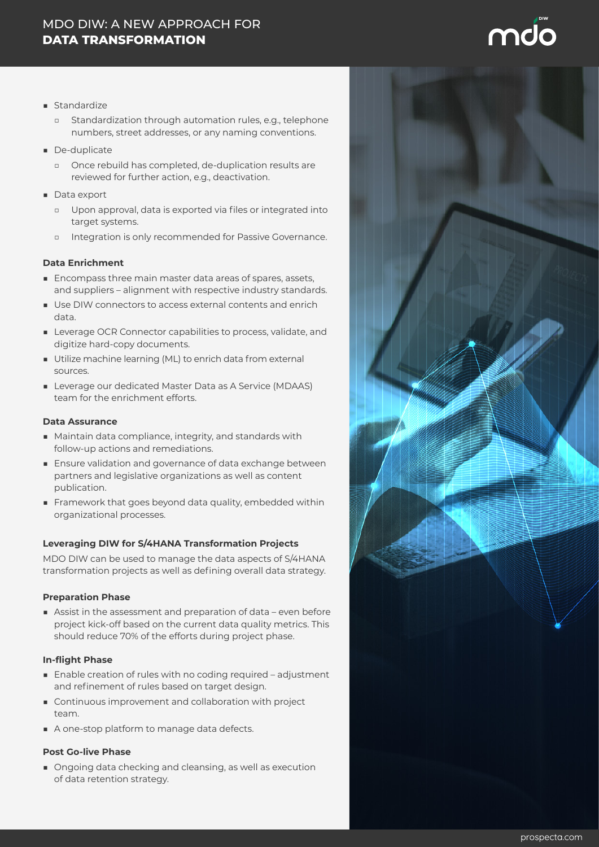### MDO DIW: A NEW APPROACH FOR **DATA TRANSFORMATION**

- Standardize
	- □ Standardization through automation rules, e.g., telephone numbers, street addresses, or any naming conventions.
- De-duplicate
	- □ Once rebuild has completed, de-duplication results are reviewed for further action, e.g., deactivation.
- Data export
	- □ Upon approval, data is exported via files or integrated into target systems.
	- Integration is only recommended for Passive Governance.

#### **Data Enrichment**

- Encompass three main master data areas of spares, assets, and suppliers – alignment with respective industry standards.
- Use DIW connectors to access external contents and enrich data.
- Leverage OCR Connector capabilities to process, validate, and digitize hard-copy documents.
- Utilize machine learning (ML) to enrich data from external sources.
- Leverage our dedicated Master Data as A Service (MDAAS) team for the enrichment efforts.

#### **Data Assurance**

- Maintain data compliance, integrity, and standards with follow-up actions and remediations.
- Ensure validation and governance of data exchange between partners and legislative organizations as well as content publication.
- Framework that goes beyond data quality, embedded within organizational processes.

#### **Leveraging DIW for S/4HANA Transformation Projects**

MDO DIW can be used to manage the data aspects of S/4HANA transformation projects as well as defining overall data strategy.

#### **Preparation Phase**

■ Assist in the assessment and preparation of data – even before project kick-off based on the current data quality metrics. This should reduce 70% of the efforts during project phase.

#### **In-flight Phase**

- Enable creation of rules with no coding required adjustment and refinement of rules based on target design.
- Continuous improvement and collaboration with project team.
- A one-stop platform to manage data defects.

#### **Post Go-live Phase**

■ Ongoing data checking and cleansing, as well as execution of data retention strategy.